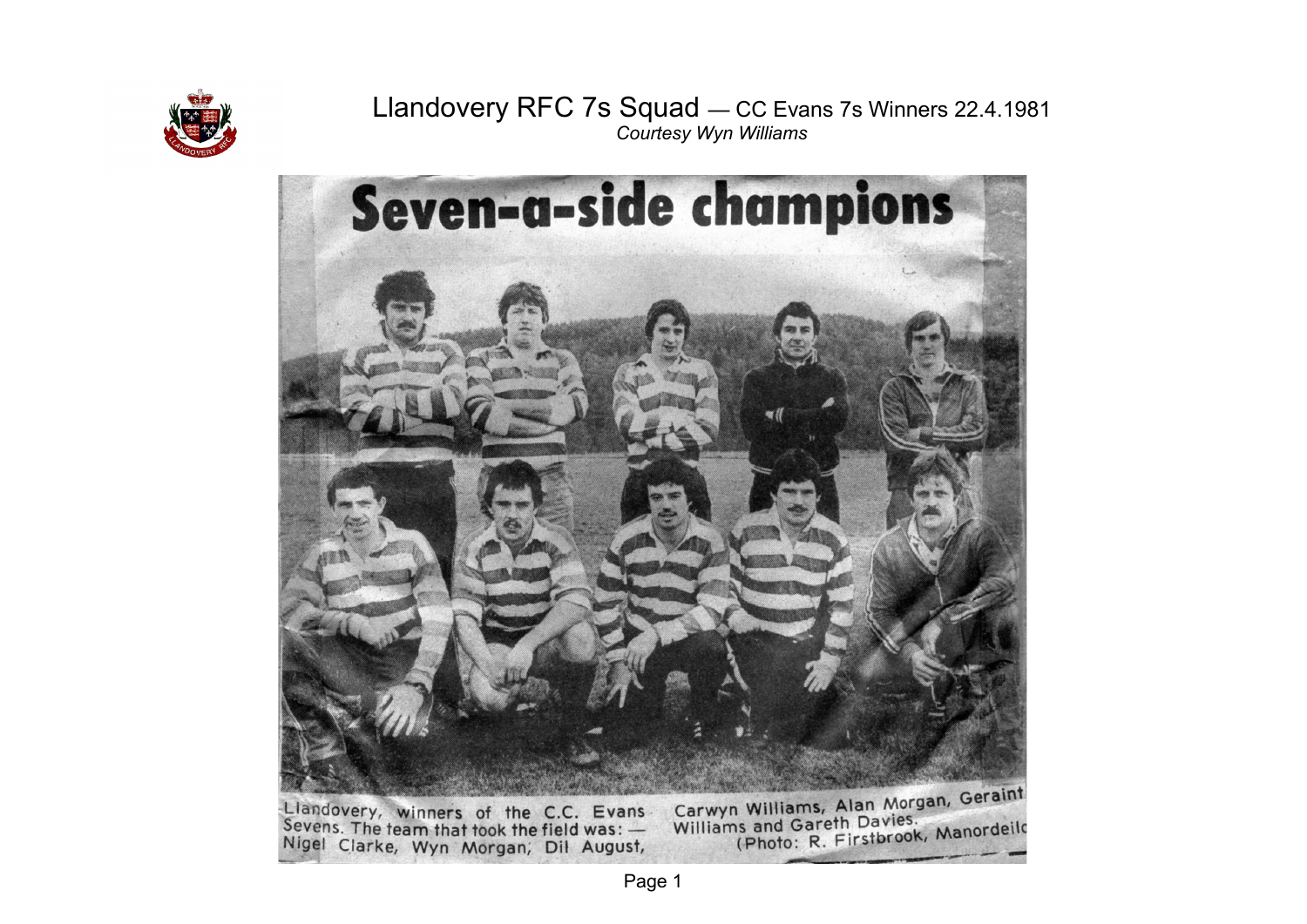

# Llandovery RFC 7s Squad — CC Evans 7s Winners 22.4.1981 *Courtesy Wyn Williams*

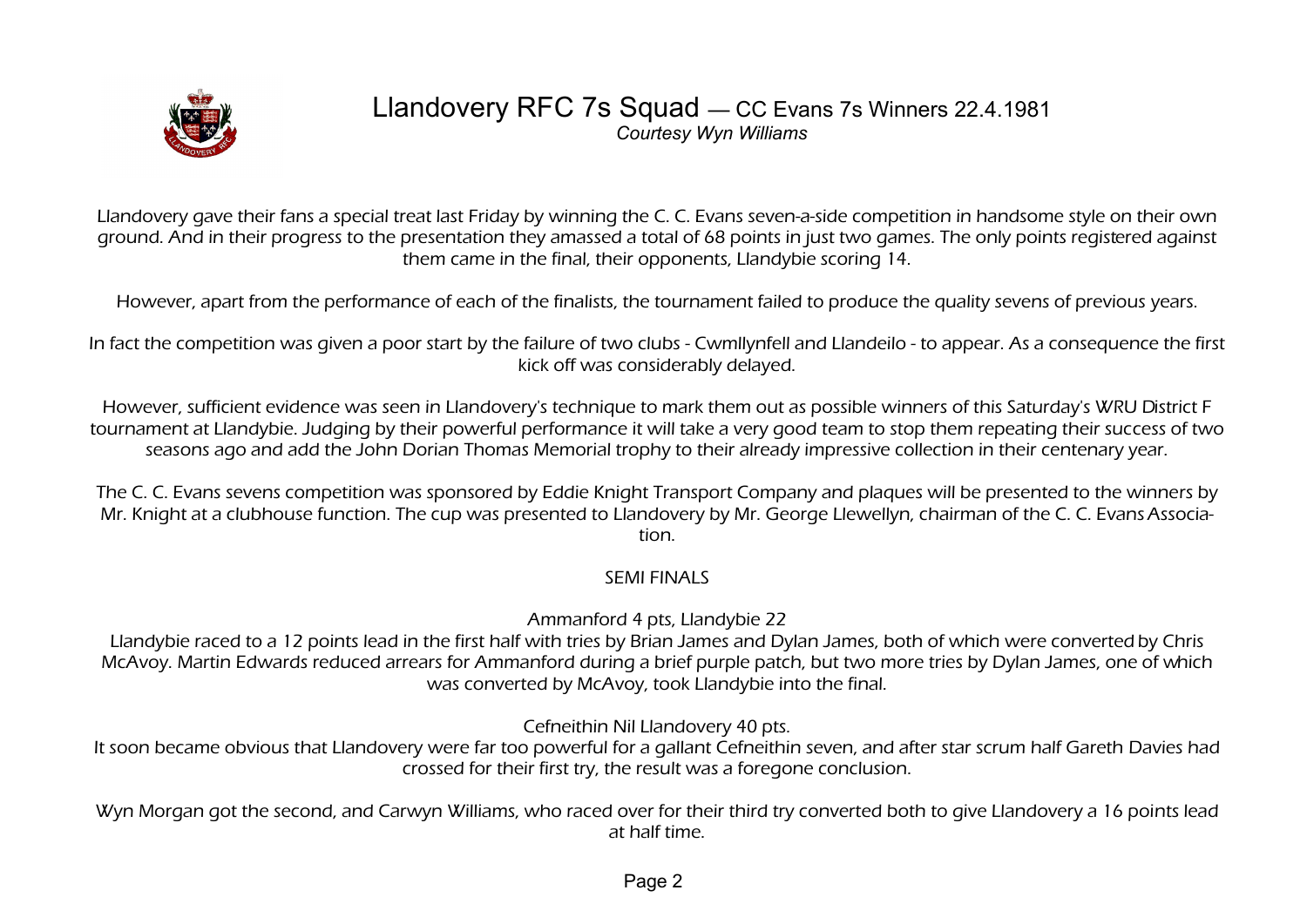

### Llandovery RFC 7s Squad — CC Evans 7s Winners 22.4.1981 *Courtesy Wyn Williams*

Llandovery gave their fans a special treat last Friday by winning the C. C. Evans seven-a-side competition in handsome style on their own ground. And in their progress to the presentation they amassed a total of 68 points in just two games. The only points registered against them came in the final, their opponents, Llandybie scoring 14.

However, apart from the performance of each of the finalists, the tournament failed to produce the quality sevens of previous years.

In fact the competition was given a poor start by the failure of two clubs - Cwmllynfell and Llandeilo - to appear. As a consequence the first kick off was considerably delayed.

However, sufficient evidence was seen in Llandovery's technique to mark them out as possible winners of this Saturday's WRU District F tournament at Llandybie. Judging by their powerful performance it will take a very good team to stop them repeating their success of two seasons ago and add the John Dorian Thomas Memorial trophy to their already impressive collection in their centenary year.

The C. C. Evans sevens competition was sponsored by Eddie Knight Transport Company and plaques will be presented to the winners by Mr. Knight at a clubhouse function. The cup was presented to Llandovery by Mr. George Llewellyn, chairman of the C. C. Evans Association.

#### SEMI FINALS

Ammanford 4 pts, Llandybie 22

Llandybie raced to a 12 points lead in the first half with tries by Brian James and Dylan James, both of which were converted by Chris McAvoy. Martin Edwards reduced arrears for Ammanford during a brief purple patch, but two more tries by Dylan James, one of which was converted by McAvoy, took Llandybie into the final.

Cefneithin Nil Llandovery 40 pts.

It soon became obvious that Llandovery were far too powerful for a gallant Cefneithin seven, and after star scrum half Gareth Davies had crossed for their first try, the result was a foregone conclusion.

Wyn Morgan got the second, and Carwyn Williams, who raced over for their third try converted both to give Llandovery a 16 points lead at half time.